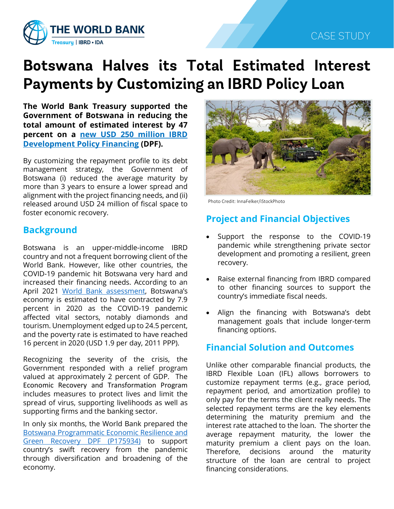

# **Botswana Halves its Total Estimated Interest Payments by Customizing an IBRD Policy Loan**

**The World Bank Treasury supported the Government of Botswana in reducing the total amount of estimated interest by 47 percent on a [new USD 250 million IBRD](https://www.worldbank.org/en/news/press-release/2021/06/11/botswana-s-economic-recovery-efforts-gets-250-million-boost)  [Development Policy Financing](https://www.worldbank.org/en/news/press-release/2021/06/11/botswana-s-economic-recovery-efforts-gets-250-million-boost) (DPF).**

By customizing the repayment profile to its debt management strategy, the Government of Botswana (i) reduced the average maturity by more than 3 years to ensure a lower spread and alignment with the project financing needs, and (ii) released around USD 24 million of fiscal space to foster economic recovery.

# **Background**

Botswana is an upper-middle-income IBRD country and not a frequent borrowing client of the World Bank. However, like other countries, the COVID-19 pandemic hit Botswana very hard and increased their financing needs. According to an April 2021 [World Bank assessment,](https://pubdocs.worldbank.org/en/531121492188153196/mpo-bwa.pdf) Botswana's economy is estimated to have contracted by 7.9 percent in 2020 as the COVID-19 pandemic affected vital sectors, notably diamonds and tourism. Unemployment edged up to 24.5 percent, and the poverty rate is estimated to have reached 16 percent in 2020 (USD 1.9 per day, 2011 PPP).

Recognizing the severity of the crisis, the Government responded with a relief program valued at approximately 2 percent of GDP. The Economic Recovery and Transformation Program includes measures to protect lives and limit the spread of virus, supporting livelihoods as well as supporting firms and the banking sector.

In only six months, the World Bank prepared the [Botswana Programmatic Economic Resilience and](https://projects.worldbank.org/en/projects-operations/project-detail/P175934)  [Green Recovery DPF \(P175934\)](https://projects.worldbank.org/en/projects-operations/project-detail/P175934) to support country's swift recovery from the pandemic through diversification and broadening of the economy.



Photo Credit: InnaFelker/iStockPhoto

# **Project and Financial Objectives**

- Support the response to the COVID-19 pandemic while strengthening private sector development and promoting a resilient, green recovery.
- Raise external financing from IBRD compared to other financing sources to support the country's immediate fiscal needs.
- Align the financing with Botswana's debt management goals that include longer-term financing options.

# **Financial Solution and Outcomes**

Unlike other comparable financial products, the IBRD Flexible Loan (IFL) allows borrowers to customize repayment terms (e.g., grace period, repayment period, and amortization profile) to only pay for the terms the client really needs. The selected repayment terms are the key elements determining the maturity premium and the interest rate attached to the loan. The shorter the average repayment maturity, the lower the maturity premium a client pays on the loan. Therefore, decisions around the maturity structure of the loan are central to project financing considerations.